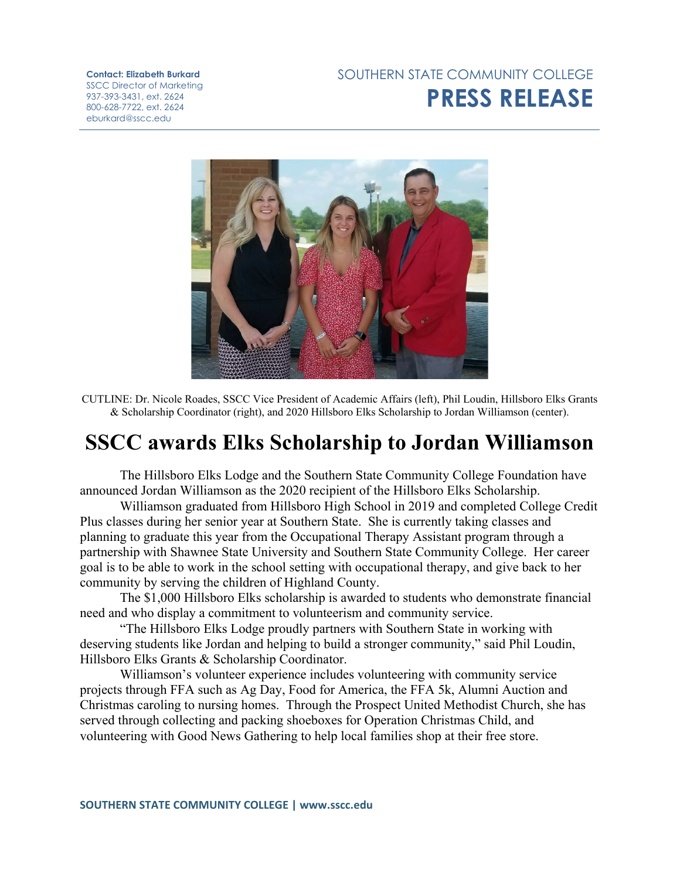## SOUTHERN STATE COMMUNITY COLLEGE **PRESS RELEASE**

**Contact: Elizabeth Burkard** SSCC Director of Marketing 937-393-3431, ext. 2624 800-628-7722, ext. 2624 eburkard@sscc.edu



CUTLINE: Dr. Nicole Roades, SSCC Vice President of Academic Affairs (left), Phil Loudin, Hillsboro Elks Grants & Scholarship Coordinator (right), and 2020 Hillsboro Elks Scholarship to Jordan Williamson (center).

## **SSCC awards Elks Scholarship to Jordan Williamson**

The Hillsboro Elks Lodge and the Southern State Community College Foundation have announced Jordan Williamson as the 2020 recipient of the Hillsboro Elks Scholarship.

Williamson graduated from Hillsboro High School in 2019 and completed College Credit Plus classes during her senior year at Southern State. She is currently taking classes and planning to graduate this year from the Occupational Therapy Assistant program through a partnership with Shawnee State University and Southern State Community College. Her career goal is to be able to work in the school setting with occupational therapy, and give back to her community by serving the children of Highland County.

The \$1,000 Hillsboro Elks scholarship is awarded to students who demonstrate financial need and who display a commitment to volunteerism and community service.

"The Hillsboro Elks Lodge proudly partners with Southern State in working with deserving students like Jordan and helping to build a stronger community," said Phil Loudin, Hillsboro Elks Grants & Scholarship Coordinator.

Williamson's volunteer experience includes volunteering with community service projects through FFA such as Ag Day, Food for America, the FFA 5k, Alumni Auction and Christmas caroling to nursing homes. Through the Prospect United Methodist Church, she has served through collecting and packing shoeboxes for Operation Christmas Child, and volunteering with Good News Gathering to help local families shop at their free store.